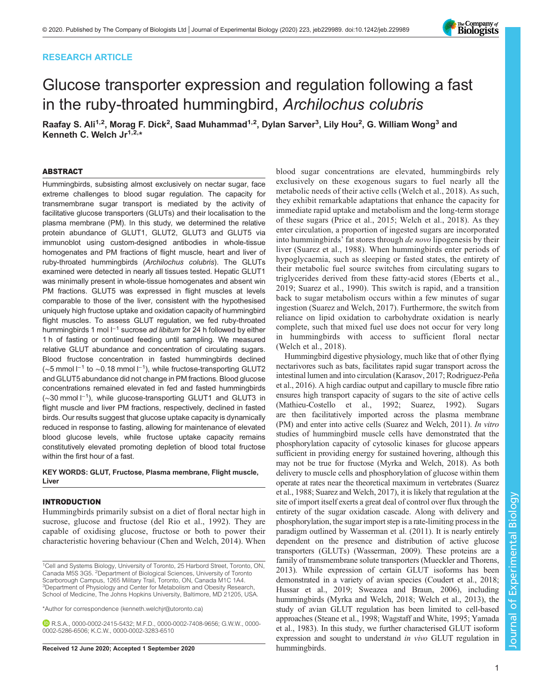# RESEARCH ARTICLE

# Glucose transporter expression and regulation following a fast in the ruby-throated hummingbird, Archilochus colubris

Raafay S. Ali<sup>1,2</sup>, Morag F. Dick<sup>2</sup>, Saad Muhammad<sup>1,2</sup>, Dylan Sarver<sup>3</sup>, Lily Hou<sup>2</sup>, G. William Wong<sup>3</sup> and Kenneth C. Welch  $Jr^{1,2,*}$ 

## ABSTRACT

Hummingbirds, subsisting almost exclusively on nectar sugar, face extreme challenges to blood sugar regulation. The capacity for transmembrane sugar transport is mediated by the activity of facilitative glucose transporters (GLUTs) and their localisation to the plasma membrane (PM). In this study, we determined the relative protein abundance of GLUT1, GLUT2, GLUT3 and GLUT5 via immunoblot using custom-designed antibodies in whole-tissue homogenates and PM fractions of flight muscle, heart and liver of ruby-throated hummingbirds (Archilochus colubris). The GLUTs examined were detected in nearly all tissues tested. Hepatic GLUT1 was minimally present in whole-tissue homogenates and absent win PM fractions. GLUT5 was expressed in flight muscles at levels comparable to those of the liver, consistent with the hypothesised uniquely high fructose uptake and oxidation capacity of hummingbird flight muscles. To assess GLUT regulation, we fed ruby-throated hummingbirds 1 mol l<sup>−1</sup> sucrose ad libitum for 24 h followed by either 1 h of fasting or continued feeding until sampling. We measured relative GLUT abundance and concentration of circulating sugars. Blood fructose concentration in fasted hummingbirds declined (∼5 mmol l−<sup>1</sup> to ∼0.18 mmol l<sup>−</sup>1), while fructose-transporting GLUT2 and GLUT5 abundance did not change in PM fractions. Blood glucose concentrations remained elevated in fed and fasted hummingbirds (∼30 mmol l<sup>−</sup>1), while glucose-transporting GLUT1 and GLUT3 in flight muscle and liver PM fractions, respectively, declined in fasted birds. Our results suggest that glucose uptake capacity is dynamically reduced in response to fasting, allowing for maintenance of elevated blood glucose levels, while fructose uptake capacity remains constitutively elevated promoting depletion of blood total fructose within the first hour of a fast.

## KEY WORDS: GLUT, Fructose, Plasma membrane, Flight muscle, Liver

## INTRODUCTION

Hummingbirds primarily subsist on a diet of floral nectar high in sucrose, glucose and fructose ([del Rio et al., 1992](#page-9-0)). They are capable of oxidising glucose, fructose or both to power their characteristic hovering behaviour [\(Chen and Welch, 2014](#page-9-0)). When

\*Author for correspondence [\(kenneth.welchjr@utoronto.ca](mailto:kenneth.welchjr@utoronto.ca))

R.S.A., [0000-0002-2415-5432](http://orcid.org/0000-0002-2415-5432); M.F.D., [0000-0002-7408-9656;](http://orcid.org/0000-0002-7408-9656) G.W.W., [0000-](http://orcid.org/0000-0002-5286-6506) [0002-5286-6506;](http://orcid.org/0000-0002-5286-6506) K.C.W., [0000-0002-3283-6510](http://orcid.org/0000-0002-3283-6510)

Received 12 June 2020; Accepted 1 September 2020 hummingbirds.

blood sugar concentrations are elevated, hummingbirds rely exclusively on these exogenous sugars to fuel nearly all the metabolic needs of their active cells ([Welch et al., 2018](#page-10-0)). As such, they exhibit remarkable adaptations that enhance the capacity for immediate rapid uptake and metabolism and the long-term storage of these sugars ([Price et al., 2015;](#page-9-0) [Welch et al., 2018\)](#page-10-0). As they enter circulation, a proportion of ingested sugars are incorporated into hummingbirds' fat stores through de novo lipogenesis by their liver ([Suarez et al., 1988\)](#page-10-0). When hummingbirds enter periods of hypoglycaemia, such as sleeping or fasted states, the entirety of their metabolic fuel source switches from circulating sugars to triglycerides derived from these fatty-acid stores ([Eberts et al.,](#page-9-0) [2019](#page-9-0); [Suarez et al., 1990](#page-10-0)). This switch is rapid, and a transition back to sugar metabolism occurs within a few minutes of sugar ingestion [\(Suarez and Welch, 2017\)](#page-10-0). Furthermore, the switch from reliance on lipid oxidation to carbohydrate oxidation is nearly complete, such that mixed fuel use does not occur for very long in hummingbirds with access to sufficient floral nectar [\(Welch et al., 2018](#page-10-0)).

Hummingbird digestive physiology, much like that of other flying nectarivores such as bats, facilitates rapid sugar transport across the intestinal lumen and into circulation [\(Karasov, 2017](#page-9-0); [Rodriguez-Peña](#page-9-0) [et al., 2016\)](#page-9-0). A high cardiac output and capillary to muscle fibre ratio ensures high transport capacity of sugars to the site of active cells [\(Mathieu-Costello et al., 1992](#page-9-0); [Suarez, 1992\)](#page-9-0). Sugars are then facilitatively imported across the plasma membrane (PM) and enter into active cells [\(Suarez and Welch, 2011](#page-9-0)). In vitro studies of hummingbird muscle cells have demonstrated that the phosphorylation capacity of cytosolic kinases for glucose appears sufficient in providing energy for sustained hovering, although this may not be true for fructose [\(Myrka and Welch, 2018\)](#page-9-0). As both delivery to muscle cells and phosphorylation of glucose within them operate at rates near the theoretical maximum in vertebrates [\(Suarez](#page-10-0) [et al., 1988](#page-10-0); [Suarez and Welch, 2017](#page-10-0)), it is likely that regulation at the site of import itself exerts a great deal of control over flux through the entirety of the sugar oxidation cascade. Along with delivery and phosphorylation, the sugar import step is a rate-limiting process in the paradigm outlined by [Wasserman et al. \(2011\)](#page-10-0). It is nearly entirely dependent on the presence and distribution of active glucose transporters (GLUTs) ([Wasserman, 2009\)](#page-10-0). These proteins are a family of transmembrane solute transporters ([Mueckler and Thorens,](#page-9-0) [2013\)](#page-9-0). While expression of certain GLUT isoforms has been demonstrated in a variety of avian species [\(Coudert et al., 2018](#page-9-0); [Hussar et al., 2019;](#page-9-0) [Sweazea and Braun, 2006](#page-10-0)), including hummingbirds ([Myrka and Welch, 2018;](#page-9-0) [Welch et al., 2013\)](#page-10-0), the study of avian GLUT regulation has been limited to cell-based approaches ([Steane et al., 1998;](#page-9-0) [Wagstaff and White, 1995](#page-10-0); [Yamada](#page-10-0) [et al., 1983\)](#page-10-0). In this study, we further characterised GLUT isoform expression and sought to understand in vivo GLUT regulation in

Journal of Experimental Biology

lournal of

Experimental Biology



<sup>&</sup>lt;sup>1</sup>Cell and Systems Biology, University of Toronto, 25 Harbord Street, Toronto, ON, Canada M5S 3G5. <sup>2</sup>Department of Biological Sciences, University of Toronto Scarborough Campus, 1265 Military Trail, Toronto, ON, Canada M1C 1A4. <sup>3</sup>Department of Physiology and Center for Metabolism and Obesity Research, School of Medicine, The Johns Hopkins University, Baltimore, MD 21205, USA.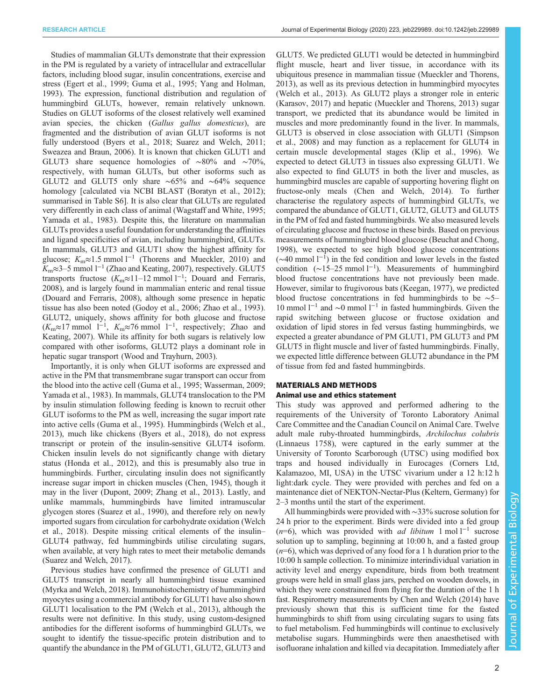Studies of mammalian GLUTs demonstrate that their expression in the PM is regulated by a variety of intracellular and extracellular factors, including blood sugar, insulin concentrations, exercise and stress [\(Egert et al., 1999](#page-9-0); [Guma et al., 1995](#page-9-0); [Yang and Holman,](#page-10-0) [1993](#page-10-0)). The expression, functional distribution and regulation of hummingbird GLUTs, however, remain relatively unknown. Studies on GLUT isoforms of the closest relatively well examined avian species, the chicken (Gallus gallus domesticus), are fragmented and the distribution of avian GLUT isoforms is not fully understood ([Byers et al., 2018](#page-9-0); [Suarez and Welch, 2011](#page-9-0); [Sweazea and Braun, 2006](#page-10-0)). It is known that chicken GLUT1 and GLUT3 share sequence homologies of ∼80% and ∼70%, respectively, with human GLUTs, but other isoforms such as GLUT2 and GLUT5 only share ∼65% and ∼64% sequence homology [calculated via NCBI BLAST ([Boratyn et al., 2012](#page-9-0)); summarised in [Table S6\]](https://jeb.biologists.org/lookup/doi/10.1242/jeb.229989.supplemental). It is also clear that GLUTs are regulated very differently in each class of animal ([Wagstaff and White, 1995](#page-10-0); [Yamada et al., 1983](#page-10-0)). Despite this, the literature on mammalian GLUTs provides a useful foundation for understanding the affinities and ligand specificities of avian, including hummingbird, GLUTs. In mammals, GLUT3 and GLUT1 show the highest affinity for glucose;  $K_m \approx 1.5$  mmol l<sup>-1</sup> ([Thorens and Mueckler, 2010](#page-10-0)) and Km≈3–5 mmol l−<sup>1</sup> [\(Zhao and Keating, 2007](#page-10-0)), respectively. GLUT5 transports fructose  $(K_m \approx 11 - 12 \text{ mmol } 1^{-1})$ ; [Douard and Ferraris,](#page-9-0) [2008](#page-9-0)), and is largely found in mammalian enteric and renal tissue [\(Douard and Ferraris, 2008\)](#page-9-0), although some presence in hepatic tissue has also been noted ([Godoy et al., 2006](#page-9-0); [Zhao et al., 1993\)](#page-10-0). GLUT2, uniquely, shows affinity for both glucose and fructose  $(K_m \approx 17 \text{ mmol } 1^{-1}$ ,  $K_m \approx 76 \text{ mmol } 1^{-1}$ , respectively; [Zhao and](#page-10-0) [Keating, 2007\)](#page-10-0). While its affinity for both sugars is relatively low compared with other isoforms, GLUT2 plays a dominant role in hepatic sugar transport [\(Wood and Trayhurn, 2003](#page-10-0)).

Importantly, it is only when GLUT isoforms are expressed and active in the PM that transmembrane sugar transport can occur from the blood into the active cell ([Guma et al., 1995;](#page-9-0) [Wasserman, 2009](#page-10-0); [Yamada et al., 1983\)](#page-10-0). In mammals, GLUT4 translocation to the PM by insulin stimulation following feeding is known to recruit other GLUT isoforms to the PM as well, increasing the sugar import rate into active cells ([Guma et al., 1995](#page-9-0)). Hummingbirds [\(Welch et al.,](#page-10-0) [2013](#page-10-0)), much like chickens [\(Byers et al., 2018](#page-9-0)), do not express transcript or protein of the insulin-sensitive GLUT4 isoform. Chicken insulin levels do not significantly change with dietary status [\(Honda et al., 2012](#page-9-0)), and this is presumably also true in hummingbirds. Further, circulating insulin does not significantly increase sugar import in chicken muscles [\(Chen, 1945\)](#page-9-0), though it may in the liver ([Dupont, 2009](#page-9-0); [Zhang et al., 2013](#page-10-0)). Lastly, and unlike mammals, hummingbirds have limited intramuscular glycogen stores [\(Suarez et al., 1990](#page-10-0)), and therefore rely on newly imported sugars from circulation for carbohydrate oxidation ([Welch](#page-10-0) [et al., 2018\)](#page-10-0). Despite missing critical elements of the insulin– GLUT4 pathway, fed hummingbirds utilise circulating sugars, when available, at very high rates to meet their metabolic demands [\(Suarez and Welch, 2017\)](#page-10-0).

Previous studies have confirmed the presence of GLUT1 and GLUT5 transcript in nearly all hummingbird tissue examined [\(Myrka and Welch, 2018\)](#page-9-0). Immunohistochemistry of hummingbird myocytes using a commercial antibody for GLUT1 have also shown GLUT1 localisation to the PM ([Welch et al., 2013\)](#page-10-0), although the results were not definitive. In this study, using custom-designed antibodies for the different isoforms of hummingbird GLUTs, we sought to identify the tissue-specific protein distribution and to quantify the abundance in the PM of GLUT1, GLUT2, GLUT3 and GLUT5. We predicted GLUT1 would be detected in hummingbird flight muscle, heart and liver tissue, in accordance with its ubiquitous presence in mammalian tissue [\(Mueckler and Thorens,](#page-9-0) [2013\)](#page-9-0), as well as its previous detection in hummingbird myocytes [\(Welch et al., 2013](#page-10-0)). As GLUT2 plays a stronger role in enteric [\(Karasov, 2017\)](#page-9-0) and hepatic ([Mueckler and Thorens, 2013](#page-9-0)) sugar transport, we predicted that its abundance would be limited in muscles and more predominantly found in the liver. In mammals, GLUT3 is observed in close association with GLUT1 ([Simpson](#page-9-0) [et al., 2008](#page-9-0)) and may function as a replacement for GLUT4 in certain muscle developmental stages ([Klip et al., 1996](#page-9-0)). We expected to detect GLUT3 in tissues also expressing GLUT1. We also expected to find GLUT5 in both the liver and muscles, as hummingbird muscles are capable of supporting hovering flight on fructose-only meals [\(Chen and Welch, 2014\)](#page-9-0). To further characterise the regulatory aspects of hummingbird GLUTs, we compared the abundance of GLUT1, GLUT2, GLUT3 and GLUT5 in the PM of fed and fasted hummingbirds. We also measured levels of circulating glucose and fructose in these birds. Based on previous measurements of hummingbird blood glucose [\(Beuchat and Chong,](#page-9-0) [1998\)](#page-9-0), we expected to see high blood glucose concentrations ( $\sim$ 40 mmol l<sup>-1</sup>) in the fed condition and lower levels in the fasted condition (∼15–25 mmol l−<sup>1</sup> ). Measurements of hummingbird blood fructose concentrations have not previously been made. However, similar to frugivorous bats [\(Keegan, 1977](#page-9-0)), we predicted blood fructose concentrations in fed hummingbirds to be ∼5– 10 mmol  $l^{-1}$  and ~0 mmol  $l^{-1}$  in fasted hummingbirds. Given the rapid switching between glucose or fructose oxidation and oxidation of lipid stores in fed versus fasting hummingbirds, we expected a greater abundance of PM GLUT1, PM GLUT3 and PM GLUT5 in flight muscle and liver of fasted hummingbirds. Finally, we expected little difference between GLUT2 abundance in the PM of tissue from fed and fasted hummingbirds.

# MATERIALS AND METHODS Animal use and ethics statement

This study was approved and performed adhering to the requirements of the University of Toronto Laboratory Animal Care Committee and the Canadian Council on Animal Care. Twelve adult male ruby-throated hummingbirds, Archilochus colubris (Linnaeus 1758), were captured in the early summer at the University of Toronto Scarborough (UTSC) using modified box traps and housed individually in Eurocages (Corners Ltd, Kalamazoo, MI, USA) in the UTSC vivarium under a 12 h:12 h light:dark cycle. They were provided with perches and fed on a maintenance diet of NEKTON-Nectar-Plus (Keltern, Germany) for 2–3 months until the start of the experiment.

All hummingbirds were provided with ∼33% sucrose solution for 24 h prior to the experiment. Birds were divided into a fed group (n=6), which was provided with *ad libitum* 1 mol  $l^{-1}$  sucrose solution up to sampling, beginning at 10:00 h, and a fasted group  $(n=6)$ , which was deprived of any food for a 1 h duration prior to the 10:00 h sample collection. To minimize interindividual variation in activity level and energy expenditure, birds from both treatment groups were held in small glass jars, perched on wooden dowels, in which they were constrained from flying for the duration of the 1 h fast. Respirometry measurements by [Chen and Welch \(2014\)](#page-9-0) have previously shown that this is sufficient time for the fasted hummingbirds to shift from using circulating sugars to using fats to fuel metabolism. Fed hummingbirds will continue to exclusively metabolise sugars. Hummingbirds were then anaesthetised with isofluorane inhalation and killed via decapitation. Immediately after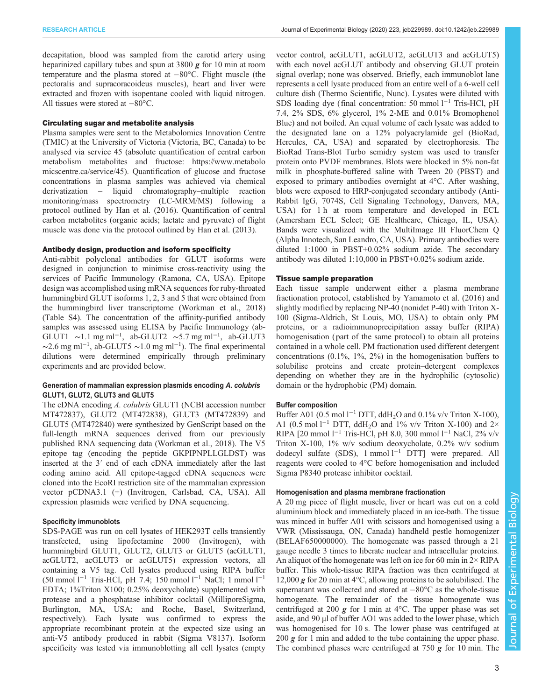decapitation, blood was sampled from the carotid artery using heparinized capillary tubes and spun at 3800 g for 10 min at room temperature and the plasma stored at −80°C. Flight muscle (the pectoralis and supracoracoideus muscles), heart and liver were extracted and frozen with isopentane cooled with liquid nitrogen. All tissues were stored at −80°C.

## Circulating sugar and metabolite analysis

Plasma samples were sent to the Metabolomics Innovation Centre (TMIC) at the University of Victoria (Victoria, BC, Canada) to be analysed via service 45 (absolute quantification of central carbon metabolism metabolites and fructose: [https://www.metabolo](https://www.metabolomicscentre.ca/service/45) [micscentre.ca/service/45](https://www.metabolomicscentre.ca/service/45)). Quantification of glucose and fructose concentrations in plasma samples was achieved via chemical derivatization – liquid chromatography–multiple reaction monitoring/mass spectrometry (LC-MRM/MS) following a protocol outlined by [Han et al. \(2016\)](#page-9-0). Quantification of central carbon metabolites (organic acids; lactate and pyruvate) of flight muscle was done via the protocol outlined by [Han et al. \(2013\).](#page-9-0)

## Antibody design, production and isoform specificity

Anti-rabbit polyclonal antibodies for GLUT isoforms were designed in conjunction to minimise cross-reactivity using the services of Pacific Immunology (Ramona, CA, USA). Epitope design was accomplished using mRNA sequences for ruby-throated hummingbird GLUT isoforms 1, 2, 3 and 5 that were obtained from the hummingbird liver transcriptome [\(Workman et al., 2018\)](#page-10-0) [\(Table S4](https://jeb.biologists.org/lookup/doi/10.1242/jeb.229989.supplemental)). The concentration of the affinity-purified antibody samples was assessed using ELISA by Pacific Immunology (ab-GLUT1 ~1.1 mg ml<sup>-1</sup>, ab-GLUT2 ~5.7 mg ml<sup>-1</sup>, ab-GLUT3  $\sim$ 2.6 mg ml<sup>-1</sup>, ab-GLUT5  $\sim$ 1.0 mg ml<sup>-1</sup>). The final experimental dilutions were determined empirically through preliminary experiments and are provided below.

## Generation of mammalian expression plasmids encoding A. colubris GLUT1, GLUT2, GLUT3 and GLUT5

The cDNA encoding A. colubris GLUT1 (NCBI accession number [MT472837\)](https://www.ncbi.nlm.nih.gov/nuccore/MT472837), GLUT2 [\(MT472838\)](https://www.ncbi.nlm.nih.gov/nuccore/MT472838), GLUT3 [\(MT472839](https://www.ncbi.nlm.nih.gov/nuccore/MT472839)) and GLUT5 ([MT472840](https://www.ncbi.nlm.nih.gov/nuccore/MT472840)) were synthesized by GenScript based on the full-length mRNA sequences derived from our previously published RNA sequencing data [\(Workman et al., 2018](#page-10-0)). The V5 epitope tag (encoding the peptide GKPIPNPLLGLDST) was inserted at the 3′ end of each cDNA immediately after the last coding amino acid. All epitope-tagged cDNA sequences were cloned into the EcoRI restriction site of the mammalian expression vector pCDNA3.1 (+) (Invitrogen, Carlsbad, CA, USA). All expression plasmids were verified by DNA sequencing.

## Specificity immunoblots

SDS-PAGE was run on cell lysates of HEK293T cells transiently transfected, using lipofectamine 2000 (Invitrogen), with hummingbird GLUT1, GLUT2, GLUT3 or GLUT5 (acGLUT1, acGLUT2, acGLUT3 or acGLUT5) expression vectors, all containing a V5 tag. Cell lysates produced using RIPA buffer (50 mmol l−<sup>1</sup> Tris-HCl, pH 7.4; 150 mmol l−<sup>1</sup> NaCl; 1 mmol l−<sup>1</sup> EDTA; 1%Triton X100; 0.25% deoxycholate) supplemented with protease and a phosphatase inhibitor cocktail (MilliporeSigma, Burlington, MA, USA; and Roche, Basel, Switzerland, respectively). Each lysate was confirmed to express the appropriate recombinant protein at the expected size using an anti-V5 antibody produced in rabbit (Sigma V8137). Isoform specificity was tested via immunoblotting all cell lysates (empty vector control, acGLUT1, acGLUT2, acGLUT3 and acGLUT5) with each novel acGLUT antibody and observing GLUT protein signal overlap; none was observed. Briefly, each immunoblot lane represents a cell lysate produced from an entire well of a 6-well cell culture dish (Thermo Scientific, Nunc). Lysates were diluted with SDS loading dye (final concentration: 50 mmol l<sup>-1</sup> Tris-HCl, pH 7.4, 2% SDS, 6% glycerol, 1% 2-ME and 0.01% Bromophenol Blue) and not boiled. An equal volume of each lysate was added to the designated lane on a 12% polyacrylamide gel (BioRad, Hercules, CA, USA) and separated by electrophoresis. The BioRad Trans-Blot Turbo semidry system was used to transfer protein onto PVDF membranes. Blots were blocked in 5% non-fat milk in phosphate-buffered saline with Tween 20 (PBST) and exposed to primary antibodies overnight at 4°C. After washing, blots were exposed to HRP-conjugated secondary antibody (Anti-Rabbit IgG, 7074S, Cell Signaling Technology, Danvers, MA, USA) for 1 h at room temperature and developed in ECL (Amersham ECL Select; GE Healthcare, Chicago, IL, USA). Bands were visualized with the MultiImage III FluorChem Q (Alpha Innotech, San Leandro, CA, USA). Primary antibodies were diluted 1:1000 in PBST+0.02% sodium azide. The secondary antibody was diluted 1:10,000 in PBST+0.02% sodium azide.

## Tissue sample preparation

Each tissue sample underwent either a plasma membrane fractionation protocol, established by [Yamamoto et al. \(2016\)](#page-10-0) and slightly modified by replacing NP-40 (nonidet P-40) with Triton X-100 (Sigma-Aldrich, St Louis, MO, USA) to obtain only PM proteins, or a radioimmunoprecipitation assay buffer (RIPA) homogenisation ( part of the same protocol) to obtain all proteins contained in a whole cell. PM fractionation used different detergent concentrations  $(0.1\%, 1\%, 2\%)$  in the homogenisation buffers to solubilise proteins and create protein–detergent complexes depending on whether they are in the hydrophilic (cytosolic) domain or the hydrophobic (PM) domain.

#### Buffer composition

Buffer A01 (0.5 mol l<sup>-1</sup> DTT, ddH<sub>2</sub>O and 0.1% v/v Triton X-100), A1 (0.5 mol  $l^{-1}$  DTT, ddH<sub>2</sub>O and 1% v/v Triton X-100) and 2× RIPA [20 mmol l<sup>-1</sup> Tris-HCl, pH 8.0, 300 mmol l<sup>-1</sup> NaCl, 2% v/v Triton X-100, 1% w/v sodium deoxycholate, 0.2% w/v sodium dodecyl sulfate (SDS), 1 mmol l−<sup>1</sup> DTT] were prepared. All reagents were cooled to 4°C before homogenisation and included Sigma P8340 protease inhibitor cocktail.

# Homogenisation and plasma membrane fractionation

A 20 mg piece of flight muscle, liver or heart was cut on a cold aluminium block and immediately placed in an ice-bath. The tissue was minced in buffer A01 with scissors and homogenised using a VWR (Mississauga, ON, Canada) handheld pestle homogenizer (BELAF650000000). The homogenate was passed through a 21 gauge needle 3 times to liberate nuclear and intracellular proteins. An aliquot of the homogenate was left on ice for 60 min in  $2 \times RIPA$ buffer. This whole-tissue RIPA fraction was then centrifuged at 12,000  $g$  for 20 min at 4 $\degree$ C, allowing proteins to be solubilised. The supernatant was collected and stored at −80°C as the whole-tissue homogenate. The remainder of the tissue homogenate was centrifuged at 200  $g$  for 1 min at 4°C. The upper phase was set aside, and 90 µl of buffer AO1 was added to the lower phase, which was homogenised for 10 s. The lower phase was centrifuged at 200  $g$  for 1 min and added to the tube containing the upper phase. The combined phases were centrifuged at 750  $g$  for 10 min. The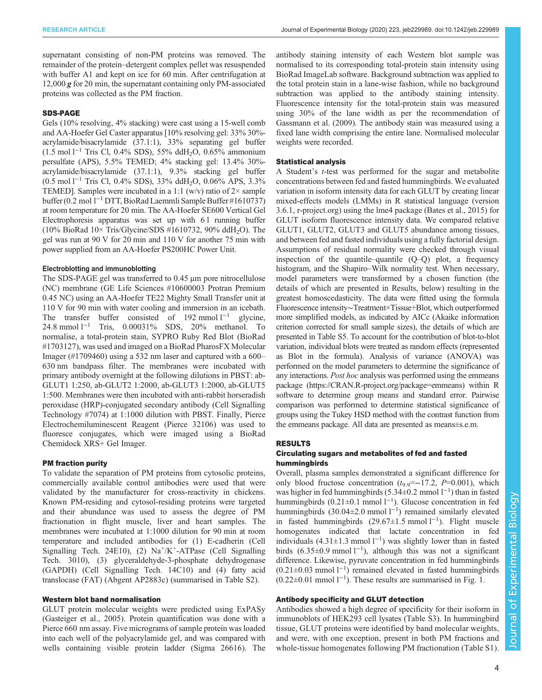supernatant consisting of non-PM proteins was removed. The remainder of the protein–detergent complex pellet was resuspended with buffer A1 and kept on ice for 60 min. After centrifugation at 12,000 g for 20 min, the supernatant containing only PM-associated proteins was collected as the PM fraction.

## SDS-PAGE

Gels (10% resolving, 4% stacking) were cast using a 15-well comb and AA-Hoefer Gel Caster apparatus [10% resolving gel: 33% 30% acrylamide/bisacrylamide (37.1:1), 33% separating gel buffer (1.5 mol l−<sup>1</sup> Tris Cl, 0.4% SDS), 55% ddH2O, 0.65% ammonium persulfate (APS), 5.5% TEMED; 4% stacking gel: 13.4% 30% acrylamide/bisacrylamide (37.1:1), 9.3% stacking gel buffer (0.5 mol l−<sup>1</sup> Tris Cl, 0.4% SDS), 33% ddH2O, 0.06% APS, 3.3% TEMED]. Samples were incubated in a 1:1 (w/v) ratio of  $2 \times$  sample buffer (0.2 mol l<sup>−</sup>1DTT, BioRad Laemmli Sample Buffer #1610737) at room temperature for 20 min. The AA-Hoefer SE600 Vertical Gel Electrophoresis apparatus was set up with 6 l running buffer (10% BioRad  $10\times$  Tris/Glycine/SDS #1610732, 90% ddH<sub>2</sub>O). The gel was run at 90 V for 20 min and 110 V for another 75 min with power supplied from an AA-Hoefer PS200HC Power Unit.

## Electroblotting and immunoblotting

The SDS-PAGE gel was transferred to 0.45 µm pore nitrocellulose (NC) membrane (GE Life Sciences #10600003 Protran Premium 0.45 NC) using an AA-Hoefer TE22 Mighty Small Transfer unit at 110 V for 90 min with water cooling and immersion in an icebath. The transfer buffer consisted of 192 mmol l<sup>−1</sup> glycine, 24.8 mmol l−<sup>1</sup> Tris, 0.00031% SDS, 20% methanol. To normalise, a total-protein stain, SYPRO Ruby Red Blot (BioRad #1703127), was used and imaged on a BioRad PharosFX Molecular Imager (#1709460) using a 532 nm laser and captured with a 600– 630 nm bandpass filter. The membranes were incubated with primary antibody overnight at the following dilutions in PBST: ab-GLUT1 1:250, ab-GLUT2 1:2000, ab-GLUT3 1:2000, ab-GLUT5 1:500. Membranes were then incubated with anti-rabbit horseradish peroxidase (HRP)-conjugated secondary antibody (Cell Signalling Technology #7074) at 1:1000 dilution with PBST. Finally, Pierce Electrochemiluminescent Reagent (Pierce 32106) was used to fluoresce conjugates, which were imaged using a BioRad Chemidock XRS+ Gel Imager.

#### PM fraction purity

To validate the separation of PM proteins from cytosolic proteins, commercially available control antibodies were used that were validated by the manufacturer for cross-reactivity in chickens. Known PM-residing and cytosol-residing proteins were targeted and their abundance was used to assess the degree of PM fractionation in flight muscle, liver and heart samples. The membranes were incubated at 1:1000 dilution for 90 min at room temperature and included antibodies for (1) E-cadherin (Cell Signalling Tech. 24E10), (2)  $Na^+/K^+$ -ATPase (Cell Signalling Tech. 3010), (3) glyceraldehyde-3-phosphate dehydrogenase (GAPDH) (Cell Signalling Tech. 14C10) and (4) fatty acid translocase (FAT) (Abgent AP2883c) (summarised in [Table S2\)](https://jeb.biologists.org/lookup/doi/10.1242/jeb.229989.supplemental).

#### Western blot band normalisation

GLUT protein molecular weights were predicted using ExPASy [\(Gasteiger et al., 2005\)](#page-9-0). Protein quantification was done with a Pierce 660 nm assay. Five micrograms of sample protein was loaded into each well of the polyacrylamide gel, and was compared with wells containing visible protein ladder (Sigma 26616). The

antibody staining intensity of each Western blot sample was normalised to its corresponding total-protein stain intensity using BioRad ImageLab software. Background subtraction was applied to the total protein stain in a lane-wise fashion, while no background subtraction was applied to the antibody staining intensity. Fluorescence intensity for the total-protein stain was measured using 30% of the lane width as per the recommendation of [Gassmann et al. \(2009\)](#page-9-0). The antibody stain was measured using a fixed lane width comprising the entire lane. Normalised molecular weights were recorded.

## Statistical analysis

A Student's t-test was performed for the sugar and metabolite concentrations between fed and fasted hummingbirds. We evaluated variation in isoform intensity data for each GLUT by creating linear mixed-effects models (LMMs) in R statistical language (version 3.6.1, [r-project.org\)](https://www.r-project.org/) using the lme4 package [\(Bates et al., 2015\)](#page-9-0) for GLUT isoform fluorescence intensity data. We compared relative GLUT1, GLUT2, GLUT3 and GLUT5 abundance among tissues, and between fed and fasted individuals using a fully factorial design. Assumptions of residual normality were checked through visual inspection of the quantile–quantile  $(Q-Q)$  plot, a frequency histogram, and the Shapiro–Wilk normality test. When necessary, model parameters were transformed by a chosen function (the details of which are presented in Results, below) resulting in the greatest homoscedasticity. The data were fitted using the formula Fluorescence intensity∼Treatment×Tissue+Blot, which outperformed more simplified models, as indicated by AICc (Akaike information criterion corrected for small sample sizes), the details of which are presented in [Table S5](https://jeb.biologists.org/lookup/doi/10.1242/jeb.229989.supplemental). To account for the contribution of blot-to-blot variation, individual blots were treated as random effects (represented as Blot in the formula). Analysis of variance (ANOVA) was performed on the model parameters to determine the significance of any interactions. Post hoc analysis was performed using the emmeans package [\(https://CRAN.R-project.org/package=emmeans](https://CRAN.R-project.org/package=emmeans)) within R software to determine group means and standard error. Pairwise comparison was performed to determine statistical significance of groups using the Tukey HSD method with the contrast function from the emmeans package. All data are presented as means±s.e.m.

#### RESULTS

# Circulating sugars and metabolites of fed and fasted hummingbirds

Overall, plasma samples demonstrated a significant difference for only blood fructose concentration ( $t_{9.9}=-17.2$ , P=0.001), which was higher in fed hummingbirds (5.34±0.2 mmol  $1^{-1}$ ) than in fasted hummingbirds (0.21±0.1 mmol l<sup>-1</sup>). Glucose concentration in fed hummingbirds (30.04±2.0 mmol l<sup>-1</sup>) remained similarly elevated in fasted hummingbirds  $(29.67 \pm 1.5 \text{ mmol } 1^{-1})$ . Flight muscle homogenates indicated that lactate concentration in fed individuals  $(4.31 \pm 1.3 \text{ mmol } 1^{-1})$  was slightly lower than in fasted birds (6.35±0.9 mmol  $l^{-1}$ ), although this was not a significant difference. Likewise, pyruvate concentration in fed hummingbirds (0.21±0.03 mmol l−<sup>1</sup> ) remained elevated in fasted hummingbirds (0.22±0.01 mmol l−<sup>1</sup> ). These results are summarised in [Fig. 1](#page-4-0).

## Antibody specificity and GLUT detection

Antibodies showed a high degree of specificity for their isoform in immunoblots of HEK293 cell lysates [\(Table S3\)](https://jeb.biologists.org/lookup/doi/10.1242/jeb.229989.supplemental). In hummingbird tissue, GLUT proteins were identified by band molecular weights, and were, with one exception, present in both PM fractions and whole-tissue homogenates following PM fractionation ([Table S1](https://jeb.biologists.org/lookup/doi/10.1242/jeb.229989.supplemental)).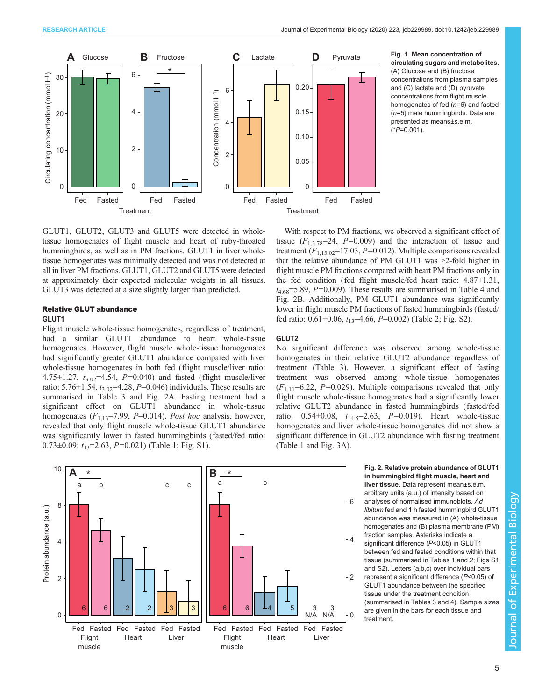$(^{\ast}P=0.001)$ .

<span id="page-4-0"></span>

## **D** Pyruvate Fig. 1. Mean concentration of circulating sugars and metabolites. (A) Glucose and (B) fructose concentrations from plasma samples and (C) lactate and (D) pyruvate concentrations from flight muscle homogenates of fed (n=6) and fasted (n=5) male hummingbirds. Data are presented as means±s.e.m.

GLUT1, GLUT2, GLUT3 and GLUT5 were detected in wholetissue homogenates of flight muscle and heart of ruby-throated hummingbirds, as well as in PM fractions. GLUT1 in liver wholetissue homogenates was minimally detected and was not detected at all in liver PM fractions. GLUT1, GLUT2 and GLUT5 were detected

at approximately their expected molecular weights in all tissues. GLUT3 was detected at a size slightly larger than predicted.

## Relative GLUT abundance

#### GLUT1

Flight muscle whole-tissue homogenates, regardless of treatment, had a similar GLUT1 abundance to heart whole-tissue homogenates. However, flight muscle whole-tissue homogenates had significantly greater GLUT1 abundance compared with liver whole-tissue homogenates in both fed (flight muscle/liver ratio: 4.75 $\pm$ 1.27,  $t_{3.02}$ =4.54, P=0.040) and fasted (flight muscle/liver ratio: 5.76 $\pm$ 1.54,  $t_{3.02}$ =4.28, P=0.046) individuals. These results are summarised in [Table 3](#page-6-0) and Fig. 2A. Fasting treatment had a significant effect on GLUT1 abundance in whole-tissue homogenates  $(F_{1,13} = 7.99, P = 0.014)$ . Post hoc analysis, however, revealed that only flight muscle whole-tissue GLUT1 abundance was significantly lower in fasted hummingbirds (fasted/fed ratio: 0.73 $\pm$ 0.09;  $t_{13}$ =2.63, P=0.021) ([Table 1;](#page-5-0) [Fig. S1](https://jeb.biologists.org/lookup/doi/10.1242/jeb.229989.supplemental)).

With respect to PM fractions, we observed a significant effect of tissue  $(F_{1,3.78}=24, P=0.009)$  and the interaction of tissue and treatment  $(F_{1,13,02}=17.03, P=0.012)$ . Multiple comparisons revealed that the relative abundance of PM GLUT1 was >2-fold higher in flight muscle PM fractions compared with heart PM fractions only in the fed condition (fed flight muscle/fed heart ratio: 4.87±1.31,  $t_{4.68}$ =5.89, P=0.009). These results are summarised in [Table 4](#page-6-0) and Fig. 2B. Additionally, PM GLUT1 abundance was significantly lower in flight muscle PM fractions of fasted hummingbirds (fasted/ fed ratio:  $0.61 \pm 0.06$ ,  $t_{13} = 4.66$ ,  $P = 0.002$ ) ([Table 2](#page-5-0); [Fig. S2](https://jeb.biologists.org/lookup/doi/10.1242/jeb.229989.supplemental)).

## GLUT2

No significant difference was observed among whole-tissue homogenates in their relative GLUT2 abundance regardless of treatment [\(Table 3](#page-6-0)). However, a significant effect of fasting treatment was observed among whole-tissue homogenates  $(F_{1,11}=6.22, P=0.029)$ . Multiple comparisons revealed that only flight muscle whole-tissue homogenates had a significantly lower relative GLUT2 abundance in fasted hummingbirds (fasted/fed ratio:  $0.54 \pm 0.08$ ,  $t_{14.5} = 2.63$ ,  $P = 0.019$ ). Heart whole-tissue homogenates and liver whole-tissue homogenates did not show a significant difference in GLUT2 abundance with fasting treatment [\(Table 1](#page-5-0) and [Fig. 3](#page-5-0)A).

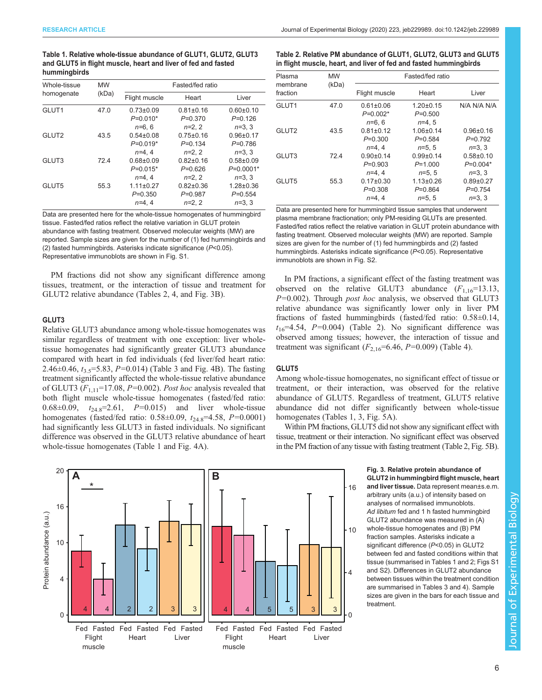<span id="page-5-0"></span>Table 1. Relative whole-tissue abundance of GLUT1, GLUT2, GLUT3 and GLUT5 in flight muscle, heart and liver of fed and fasted hummingbirds

| Whole-tissue      | <b>MW</b> | Fasted/fed ratio                                     |                                                       |                                                     |  |  |
|-------------------|-----------|------------------------------------------------------|-------------------------------------------------------|-----------------------------------------------------|--|--|
| homogenate        | (kDa)     | Flight muscle                                        | Heart                                                 | Liver                                               |  |  |
| GLUT1             | 47.0      | $0.73 \pm 0.09$<br>$P=0.010*$<br>$n=6.6$             | $0.81 \pm 0.16$<br>$P = 0.370$<br>$n=2, 2$            | $0.60 + 0.10$<br>$P=0.126$<br>$n=3, 3$              |  |  |
| GLUT <sub>2</sub> | 43.5      | $0.54 \pm 0.08$<br>$P=0.019*$                        | $0.75 \pm 0.16$<br>$P = 0.134$                        | $0.96 \pm 0.17$<br>$P=0.786$                        |  |  |
| GLUT3             | 724       | $n=4.4$<br>$0.68 + 0.09$<br>$P=0.015*$               | $n=2.2$<br>$0.82 \pm 0.16$<br>$P = 0.626$             | $n=3, 3$<br>$0.58 + 0.09$<br>$P=0.0001*$            |  |  |
| GLUT5             | 55.3      | $n=4.4$<br>$1.11 \pm 0.27$<br>$P = 0.350$<br>$n=4.4$ | $n=2.2$<br>$0.82 \pm 0.36$<br>$P = 0.987$<br>$n=2, 2$ | $n=3.3$<br>$1.28 \pm 0.36$<br>$P=0.554$<br>$n=3, 3$ |  |  |

Data are presented here for the whole-tissue homogenates of hummingbird tissue. Fasted/fed ratios reflect the relative variation in GLUT protein abundance with fasting treatment. Observed molecular weights (MW) are reported. Sample sizes are given for the number of (1) fed hummingbirds and (2) fasted hummingbirds. Asterisks indicate significance  $(P<0.05)$ . Representative immunoblots are shown in [Fig. S1](https://jeb.biologists.org/lookup/doi/10.1242/jeb.229989.supplemental).

PM fractions did not show any significant difference among tissues, treatment, or the interaction of tissue and treatment for GLUT2 relative abundance (Tables 2, [4,](#page-6-0) and Fig. 3B).

# GLUT3

Relative GLUT3 abundance among whole-tissue homogenates was similar regardless of treatment with one exception: liver wholetissue homogenates had significantly greater GLUT3 abundance compared with heart in fed individuals (fed liver/fed heart ratio: 2.46 $\pm$ 0.46,  $t_{3.5}$ =5.83, P=0.014) ([Table 3](#page-6-0) and [Fig. 4B](#page-7-0)). The fasting treatment significantly affected the whole-tissue relative abundance of GLUT3 ( $F_{1,11}$ =17.08, P=0.002). Post hoc analysis revealed that both flight muscle whole-tissue homogenates (fasted/fed ratio: 0.68 $\pm$ 0.09,  $t_{24.8}$ =2.61,  $P=0.015$ ) and liver whole-tissue homogenates (fasted/fed ratio:  $0.58 \pm 0.09$ ,  $t_{24.8} = 4.58$ ,  $P = 0.0001$ ) had significantly less GLUT3 in fasted individuals. No significant difference was observed in the GLUT3 relative abundance of heart whole-tissue homogenates (Table 1 and [Fig. 4A](#page-7-0)).

Table 2. Relative PM abundance of GLUT1, GLUT2, GLUT3 and GLUT5 in flight muscle, heart, and liver of fed and fasted hummingbirds

| Plasma<br>membrane | <b>MW</b> | Fasted/fed ratio                          |                                            |                                         |  |  |
|--------------------|-----------|-------------------------------------------|--------------------------------------------|-----------------------------------------|--|--|
| fraction           | (kDa)     | Flight muscle                             | Heart                                      | Liver                                   |  |  |
| GLUT1              | 47.0      | $0.61 \pm 0.06$<br>$P=0.002*$<br>$n=6.6$  | $1.20 \pm 0.15$<br>$P=0.500$<br>$n=4.5$    | N/A N/A N/A                             |  |  |
| GLUT2              | 43.5      | $0.81 \pm 0.12$<br>$P=0.300$<br>$n=4.4$   | $1.06 \pm 0.14$<br>$P = 0.584$<br>$n=5, 5$ | $0.96 + 0.16$<br>$P=0.792$<br>$n=3, 3$  |  |  |
| GLUT3              | 72.4      | $0.90 + 0.14$<br>$P=0.903$<br>$n=4.4$     | $0.99 + 0.14$<br>$P = 1.000$<br>$n=5, 5$   | $0.58 + 0.10$<br>$P=0.004*$<br>$n=3, 3$ |  |  |
| GLUT5              | 55.3      | $0.17 \pm 0.30$<br>$P = 0.308$<br>$n=4.4$ | $1.13 \pm 0.26$<br>$P = 0.864$<br>$n=5, 5$ | $0.89 + 0.27$<br>$P=0.754$<br>$n=3, 3$  |  |  |

Data are presented here for hummingbird tissue samples that underwent plasma membrane fractionation; only PM-residing GLUTs are presented. Fasted/fed ratios reflect the relative variation in GLUT protein abundance with fasting treatment. Observed molecular weights (MW) are reported. Sample sizes are given for the number of (1) fed hummingbirds and (2) fasted hummingbirds. Asterisks indicate significance (P<0.05). Representative immunoblots are shown in [Fig. S2.](https://jeb.biologists.org/lookup/doi/10.1242/jeb.229989.supplemental)

In PM fractions, a significant effect of the fasting treatment was observed on the relative GLUT3 abundance  $(F_{1,16}=13.13,$  $P=0.002$ ). Through *post hoc* analysis, we observed that GLUT3 relative abundance was significantly lower only in liver PM fractions of fasted hummingbirds (fasted/fed ratio: 0.58±0.14,  $t_{16}$ =4.54, P=0.004) (Table 2). No significant difference was observed among tissues; however, the interaction of tissue and treatment was significant  $(F_{2,16}=6.46, P=0.009)$  [\(Table 4\)](#page-6-0).

## GLUT5

Among whole-tissue homogenates, no significant effect of tissue or treatment, or their interaction, was observed for the relative abundance of GLUT5. Regardless of treatment, GLUT5 relative abundance did not differ significantly between whole-tissue homogenates (Tables 1, [3](#page-6-0), [Fig. 5A](#page-7-0)).

Within PM fractions, GLUT5 did not show any significant effect with tissue, treatment or their interaction. No significant effect was observed in the PM fraction of any tissue with fasting treatment (Table 2, [Fig. 5B](#page-7-0)).

> GLUT2 in hummingbird flight muscle, heart and liver tissue. Data represent mean±s.e.m. arbitrary units (a.u.) of intensity based on analyses of normalised immunoblots. Ad libitum fed and 1 h fasted hummingbird GLUT2 abundance was measured in (A) whole-tissue homogenates and (B) PM fraction samples. Asterisks indicate a significant difference (P<0.05) in GLUT2 between fed and fasted conditions within that tissue (summarised in Tables 1 and 2; [Figs S1](https://jeb.biologists.org/lookup/doi/10.1242/jeb.229989.supplemental) and [S2](https://jeb.biologists.org/lookup/doi/10.1242/jeb.229989.supplemental)). Differences in GLUT2 abundance between tissues within the treatment condition are summarised in [Tables 3](#page-6-0) and [4\)](#page-6-0). Sample sizes are given in the bars for each tissue and treatment.

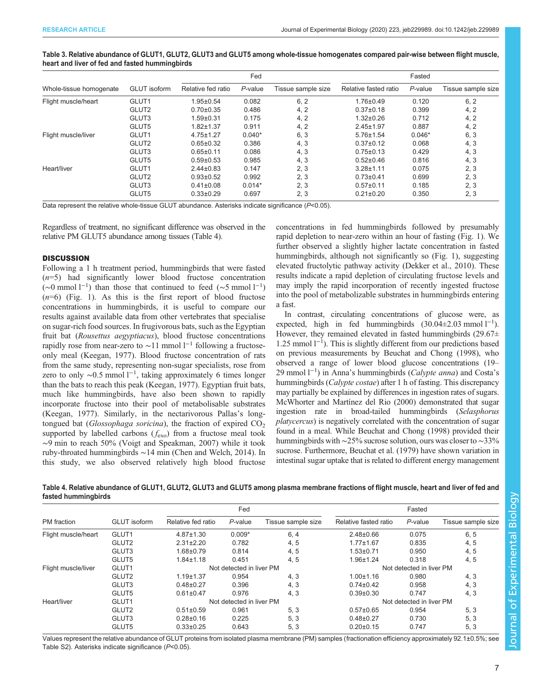# <span id="page-6-0"></span>Table 3. Relative abundance of GLUT1, GLUT2, GLUT3 and GLUT5 among whole-tissue homogenates compared pair-wise between flight muscle, heart and liver of fed and fasted hummingbirds

|                         |                     | Fed                |          |                    | Fasted                |          |                    |
|-------------------------|---------------------|--------------------|----------|--------------------|-----------------------|----------|--------------------|
| Whole-tissue homogenate | <b>GLUT</b> isoform | Relative fed ratio | P-value  | Tissue sample size | Relative fasted ratio | P-value  | Tissue sample size |
| Flight muscle/heart     | GLUT1               | $1.95 \pm 0.54$    | 0.082    | 6, 2               | $1.76 \pm 0.49$       | 0.120    | 6, 2               |
|                         | GLUT2               | $0.70 \pm 0.35$    | 0.486    | 4, 2               | $0.37 \pm 0.18$       | 0.399    | 4, 2               |
|                         | GLUT3               | $1.59 + 0.31$      | 0.175    | 4, 2               | $1.32 \pm 0.26$       | 0.712    | 4, 2               |
|                         | GLUT5               | $1.82 + 1.37$      | 0.911    | 4, 2               | $2.45 \pm 1.97$       | 0.887    | 4, 2               |
| Flight muscle/liver     | GLUT1               | $4.75 \pm 1.27$    | $0.040*$ | 6, 3               | $5.76 \pm 1.54$       | $0.046*$ | 6, 3               |
|                         | GLUT2               | $0.65 \pm 0.32$    | 0.386    | 4, 3               | $0.37 \pm 0.12$       | 0.068    | 4, 3               |
|                         | GLUT3               | $0.65 \pm 0.11$    | 0.086    | 4, 3               | $0.75 \pm 0.13$       | 0.429    | 4, 3               |
|                         | GLUT5               | $0.59 \pm 0.53$    | 0.985    | 4, 3               | $0.52 \pm 0.46$       | 0.816    | 4, 3               |
| Heart/liver             | GLUT1               | $2.44 \pm 0.83$    | 0.147    | 2, 3               | $3.28 + 1.11$         | 0.075    | 2, 3               |
|                         | GLUT2               | $0.93 \pm 0.52$    | 0.992    | 2, 3               | $0.73 \pm 0.41$       | 0.699    | 2, 3               |
|                         | GLUT3               | $0.41 \pm 0.08$    | $0.014*$ | 2, 3               | $0.57 + 0.11$         | 0.185    | 2, 3               |
|                         | GLUT5               | $0.33 \pm 0.29$    | 0.697    | 2, 3               | $0.21 \pm 0.20$       | 0.350    | 2, 3               |

Data represent the relative whole-tissue GLUT abundance. Asterisks indicate significance (P<0.05).

Regardless of treatment, no significant difference was observed in the relative PM GLUT5 abundance among tissues (Table 4).

## **DISCUSSION**

Following a 1 h treatment period, hummingbirds that were fasted  $(n=5)$  had significantly lower blood fructose concentration (∼0 mmol l<sup>-1</sup>) than those that continued to feed (∼5 mmol l<sup>-1</sup>)  $(n=6)$  ([Fig. 1\)](#page-4-0). As this is the first report of blood fructose concentrations in hummingbirds, it is useful to compare our results against available data from other vertebrates that specialise on sugar-rich food sources. In frugivorous bats, such as the Egyptian fruit bat (Rousettus aegyptiacus), blood fructose concentrations rapidly rose from near-zero to ~11 mmol  $l^{-1}$  following a fructoseonly meal [\(Keegan, 1977\)](#page-9-0). Blood fructose concentration of rats from the same study, representing non-sugar specialists, rose from zero to only ~0.5 mmol l<sup>-1</sup>, taking approximately 6 times longer than the bats to reach this peak ([Keegan, 1977](#page-9-0)). Egyptian fruit bats, much like hummingbirds, have also been shown to rapidly incorporate fructose into their pool of metabolisable substrates [\(Keegan, 1977\)](#page-9-0). Similarly, in the nectarivorous Pallas's longtongued bat (Glossophaga soricina), the fraction of expired  $CO<sub>2</sub>$ supported by labelled carbons  $(f_{\text{exo}})$  from a fructose meal took ∼9 min to reach 50% ([Voigt and Speakman, 2007\)](#page-10-0) while it took ruby-throated hummingbirds ∼14 min [\(Chen and Welch, 2014](#page-9-0)). In this study, we also observed relatively high blood fructose

concentrations in fed hummingbirds followed by presumably rapid depletion to near-zero within an hour of fasting [\(Fig. 1](#page-4-0)). We further observed a slightly higher lactate concentration in fasted hummingbirds, although not significantly so [\(Fig. 1\)](#page-4-0), suggesting elevated fructolytic pathway activity ([Dekker et al., 2010\)](#page-9-0). These results indicate a rapid depletion of circulating fructose levels and may imply the rapid incorporation of recently ingested fructose into the pool of metabolizable substrates in hummingbirds entering a fast.

In contrast, circulating concentrations of glucose were, as expected, high in fed hummingbirds  $(30.04 \pm 2.03 \text{ mmol l}^{-1})$ . However, they remained elevated in fasted hummingbirds  $(29.67\pm$ 1.25 mmol l−<sup>1</sup> ). This is slightly different from our predictions based on previous measurements by [Beuchat and Chong \(1998\),](#page-9-0) who observed a range of lower blood glucose concentrations (19– 29 mmol l<sup>-1</sup>) in Anna's hummingbirds (Calypte anna) and Costa's hummingbirds (*Calypte costae*) after 1 h of fasting. This discrepancy may partially be explained by differences in ingestion rates of sugars. [McWhorter and Martínez del Rio \(2000\)](#page-9-0) demonstrated that sugar ingestion rate in broad-tailed hummingbirds (Selasphorus platycercus) is negatively correlated with the concentration of sugar found in a meal. While [Beuchat and Chong \(1998\)](#page-9-0) provided their hummingbirds with ∼25% sucrose solution, ours was closer to∼33% sucrose. Furthermore, [Beuchat et al. \(1979\)](#page-9-0) have shown variation in intestinal sugar uptake that is related to different energy management

Table 4. Relative abundance of GLUT1, GLUT2, GLUT3 and GLUT5 among plasma membrane fractions of flight muscle, heart and liver of fed and fasted hummingbirds

|                     | <b>GLUT</b> isoform | Fed                      |            |                    | Fasted                   |            |                    |
|---------------------|---------------------|--------------------------|------------|--------------------|--------------------------|------------|--------------------|
| PM fraction         |                     | Relative fed ratio       | $P$ -value | Tissue sample size | Relative fasted ratio    | $P$ -value | Tissue sample size |
| Flight muscle/heart | GLUT1               | $4.87 \pm 1.30$          | $0.009*$   | 6, 4               | $2.48 \pm 0.66$          | 0.075      | 6, 5               |
|                     | GLUT2               | $2.31 \pm 2.20$          | 0.782      | 4, 5               | $1.77 \pm 1.67$          | 0.835      | 4, 5               |
|                     | GLUT3               | $1.68 \pm 0.79$          | 0.814      | 4, 5               | $1.53 \pm 0.71$          | 0.950      | 4, 5               |
|                     | GLUT5               | $1.84 \pm 1.18$          | 0.451      | 4, 5               | $1.96 \pm 1.24$          | 0.318      | 4, 5               |
| Flight muscle/liver | GLUT1               | Not detected in liver PM |            |                    | Not detected in liver PM |            |                    |
|                     | GLUT2               | $1.19 + 1.37$            | 0.954      | 4, 3               | $1.00 \pm 1.16$          | 0.980      | 4, 3               |
|                     | GLUT3               | $0.48 + 0.27$            | 0.396      | 4, 3               | $0.74 \pm 0.42$          | 0.958      | 4, 3               |
|                     | GLUT5               | $0.61 \pm 0.47$          | 0.976      | 4, 3               | $0.39 \pm 0.30$          | 0.747      | 4, 3               |
| Heart/liver         | GLUT1               | Not detected in liver PM |            |                    | Not detected in liver PM |            |                    |
|                     | GLUT2               | $0.51 \pm 0.59$          | 0.961      | 5, 3               | $0.57 \pm 0.65$          | 0.954      | 5, 3               |
|                     | GLUT3               | $0.28 \pm 0.16$          | 0.225      | 5, 3               | $0.48 + 0.27$            | 0.730      | 5, 3               |
|                     | GLUT5               | $0.33 \pm 0.25$          | 0.643      | 5, 3               | $0.20 \pm 0.15$          | 0.747      | 5, 3               |

Values represent the relative abundance of GLUT proteins from isolated plasma membrane (PM) samples (fractionation efficiency approximately 92.1±0.5%; see [Table S2\)](https://jeb.biologists.org/lookup/doi/10.1242/jeb.229989.supplemental). Asterisks indicate significance (P<0.05).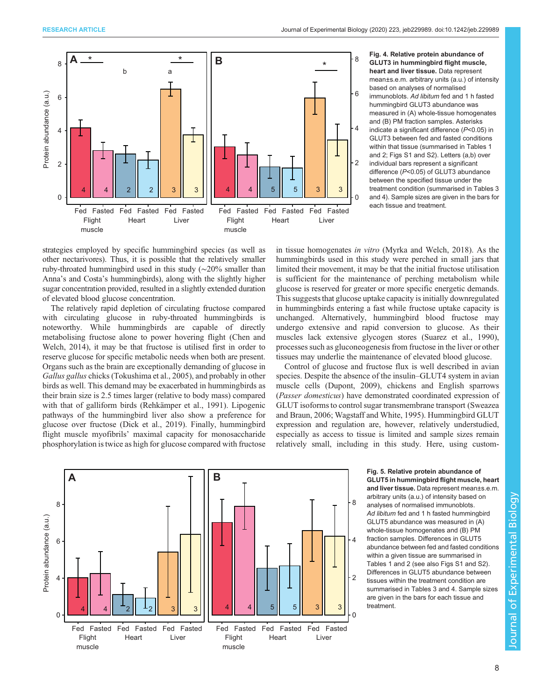<span id="page-7-0"></span>

heart and liver tissue. Data represent mean±s.e.m. arbitrary units (a.u.) of intensity based on analyses of normalised immunoblots. Ad libitum fed and 1 h fasted hummingbird GLUT3 abundance was measured in (A) whole-tissue homogenates and (B) PM fraction samples. Asterisks indicate a significant difference (P<0.05) in GLUT3 between fed and fasted conditions within that tissue (summarised in [Tables 1](#page-5-0) and [2](#page-5-0); [Figs S1](https://jeb.biologists.org/lookup/doi/10.1242/jeb.229989.supplemental) and [S2](https://jeb.biologists.org/lookup/doi/10.1242/jeb.229989.supplemental)). Letters (a,b) over individual bars represent a significant difference (P<0.05) of GLUT3 abundance between the specified tissue under the treatment condition (summarised in [Tables 3](#page-6-0) and [4\)](#page-6-0). Sample sizes are given in the bars for each tissue and treatment.

strategies employed by specific hummingbird species (as well as other nectarivores). Thus, it is possible that the relatively smaller ruby-throated hummingbird used in this study (∼20% smaller than Anna's and Costa's hummingbirds), along with the slightly higher sugar concentration provided, resulted in a slightly extended duration of elevated blood glucose concentration.

The relatively rapid depletion of circulating fructose compared with circulating glucose in ruby-throated hummingbirds is noteworthy. While hummingbirds are capable of directly metabolising fructose alone to power hovering flight [\(Chen and](#page-9-0) [Welch, 2014](#page-9-0)), it may be that fructose is utilised first in order to reserve glucose for specific metabolic needs when both are present. Organs such as the brain are exceptionally demanding of glucose in Gallus gallus chicks ([Tokushima et al., 2005\)](#page-10-0), and probably in other birds as well. This demand may be exacerbated in hummingbirds as their brain size is 2.5 times larger (relative to body mass) compared with that of galliform birds [\(Rehkämper et al., 1991\)](#page-9-0). Lipogenic pathways of the hummingbird liver also show a preference for glucose over fructose ([Dick et al., 2019](#page-9-0)). Finally, hummingbird flight muscle myofibrils' maximal capacity for monosaccharide phosphorylation is twice as high for glucose compared with fructose

in tissue homogenates in vitro [\(Myrka and Welch, 2018\)](#page-9-0). As the hummingbirds used in this study were perched in small jars that limited their movement, it may be that the initial fructose utilisation is sufficient for the maintenance of perching metabolism while glucose is reserved for greater or more specific energetic demands. This suggests that glucose uptake capacity is initially downregulated in hummingbirds entering a fast while fructose uptake capacity is unchanged. Alternatively, hummingbird blood fructose may undergo extensive and rapid conversion to glucose. As their muscles lack extensive glycogen stores [\(Suarez et al., 1990\)](#page-10-0), processes such as gluconeogenesis from fructose in the liver or other tissues may underlie the maintenance of elevated blood glucose.

Control of glucose and fructose flux is well described in avian species. Despite the absence of the insulin–GLUT4 system in avian muscle cells ([Dupont, 2009](#page-9-0)), chickens and English sparrows (Passer domesticus) have demonstrated coordinated expression of GLUT isoforms to control sugar transmembrane transport [\(Sweazea](#page-10-0) [and Braun, 2006; Wagstaff and White, 1995\)](#page-10-0). Hummingbird GLUT expression and regulation are, however, relatively understudied, especially as access to tissue is limited and sample sizes remain relatively small, including in this study. Here, using custom-



GLUT5 in hummingbird flight muscle, heart and liver tissue. Data represent mean±s.e.m. arbitrary units (a.u.) of intensity based on analyses of normalised immunoblots. Ad libitum fed and 1 h fasted hummingbird GLUT5 abundance was measured in (A) whole-tissue homogenates and (B) PM fraction samples. Differences in GLUT5 abundance between fed and fasted conditions within a given tissue are summarised in [Tables 1](#page-5-0) and [2](#page-5-0) (see also [Figs S1](https://jeb.biologists.org/lookup/doi/10.1242/jeb.229989.supplemental) and [S2](https://jeb.biologists.org/lookup/doi/10.1242/jeb.229989.supplemental)). Differences in GLUT5 abundance between tissues within the treatment condition are summarised in [Tables 3](#page-6-0) and [4](#page-6-0). Sample sizes are given in the bars for each tissue and treatment.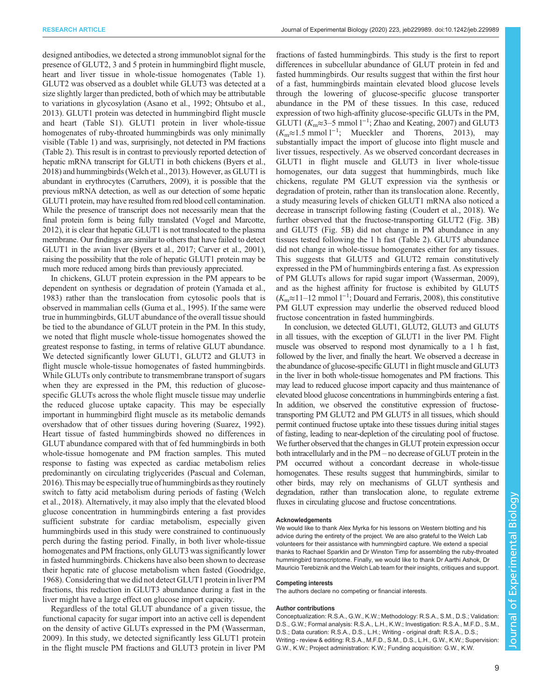designed antibodies, we detected a strong immunoblot signal for the presence of GLUT2, 3 and 5 protein in hummingbird flight muscle, heart and liver tissue in whole-tissue homogenates [\(Table 1\)](#page-5-0). GLUT2 was observed as a doublet while GLUT3 was detected at a size slightly larger than predicted, both of which may be attributable to variations in glycosylation ([Asano et al., 1992](#page-9-0); [Ohtsubo et al.,](#page-9-0) [2013](#page-9-0)). GLUT1 protein was detected in hummingbird flight muscle and heart ([Table S1](https://jeb.biologists.org/lookup/doi/10.1242/jeb.229989.supplemental)). GLUT1 protein in liver whole-tissue homogenates of ruby-throated hummingbirds was only minimally visible ([Table 1](#page-5-0)) and was, surprisingly, not detected in PM fractions [\(Table 2](#page-5-0)). This result is in contrast to previously reported detection of hepatic mRNA transcript for GLUT1 in both chickens ([Byers et al.,](#page-9-0) [2018\)](#page-9-0) and hummingbirds ([Welch et al., 2013](#page-10-0)). However, as GLUT1 is abundant in erythrocytes ([Carruthers, 2009\)](#page-9-0), it is possible that the previous mRNA detection, as well as our detection of some hepatic GLUT1 protein, may have resulted from red blood cell contamination. While the presence of transcript does not necessarily mean that the final protein form is being fully translated [\(Vogel and Marcotte,](#page-10-0) [2012\)](#page-10-0), it is clear that hepatic GLUT1 is not translocated to the plasma membrane. Our findings are similar to others that have failed to detect GLUT1 in the avian liver [\(Byers et al., 2017](#page-9-0); [Carver et al., 2001\)](#page-9-0), raising the possibility that the role of hepatic GLUT1 protein may be much more reduced among birds than previously appreciated.

In chickens, GLUT protein expression in the PM appears to be dependent on synthesis or degradation of protein ([Yamada et al.,](#page-10-0) [1983](#page-10-0)) rather than the translocation from cytosolic pools that is observed in mammalian cells [\(Guma et al., 1995\)](#page-9-0). If the same were true in hummingbirds, GLUT abundance of the overall tissue should be tied to the abundance of GLUT protein in the PM. In this study, we noted that flight muscle whole-tissue homogenates showed the greatest response to fasting, in terms of relative GLUT abundance. We detected significantly lower GLUT1, GLUT2 and GLUT3 in flight muscle whole-tissue homogenates of fasted hummingbirds. While GLUTs only contribute to transmembrane transport of sugars when they are expressed in the PM, this reduction of glucosespecific GLUTs across the whole flight muscle tissue may underlie the reduced glucose uptake capacity. This may be especially important in hummingbird flight muscle as its metabolic demands overshadow that of other tissues during hovering [\(Suarez, 1992\)](#page-9-0). Heart tissue of fasted hummingbirds showed no differences in GLUT abundance compared with that of fed hummingbirds in both whole-tissue homogenate and PM fraction samples. This muted response to fasting was expected as cardiac metabolism relies predominantly on circulating triglycerides ([Pascual and Coleman,](#page-9-0) [2016\)](#page-9-0). This may be especially true of hummingbirds asthey routinely switch to fatty acid metabolism during periods of fasting ([Welch](#page-10-0) [et al., 2018](#page-10-0)). Alternatively, it may also imply that the elevated blood glucose concentration in hummingbirds entering a fast provides sufficient substrate for cardiac metabolism, especially given hummingbirds used in this study were constrained to continuously perch during the fasting period. Finally, in both liver whole-tissue homogenates and PM fractions, only GLUT3 was significantly lower in fasted hummingbirds. Chickens have also been shown to decrease their hepatic rate of glucose metabolism when fasted [\(Goodridge,](#page-9-0) [1968\)](#page-9-0). Considering that we did not detect GLUT1 protein in liver PM fractions, this reduction in GLUT3 abundance during a fast in the liver might have a large effect on glucose import capacity.

Regardless of the total GLUT abundance of a given tissue, the functional capacity for sugar import into an active cell is dependent on the density of active GLUTs expressed in the PM [\(Wasserman,](#page-10-0) [2009](#page-10-0)). In this study, we detected significantly less GLUT1 protein in the flight muscle PM fractions and GLUT3 protein in liver PM

fractions of fasted hummingbirds. This study is the first to report differences in subcellular abundance of GLUT protein in fed and fasted hummingbirds. Our results suggest that within the first hour of a fast, hummingbirds maintain elevated blood glucose levels through the lowering of glucose-specific glucose transporter abundance in the PM of these tissues. In this case, reduced expression of two high-affinity glucose-specific GLUTs in the PM, GLUT1 ( $K_m \approx 3-5$  mmol  $1^{-1}$ ; [Zhao and Keating, 2007\)](#page-10-0) and GLUT3  $(K_m \approx 1.5 \text{ mmol } 1^{-1};$  [Mueckler and Thorens, 2013](#page-9-0)), may substantially impact the import of glucose into flight muscle and liver tissues, respectively. As we observed concordant decreases in GLUT1 in flight muscle and GLUT3 in liver whole-tissue homogenates, our data suggest that hummingbirds, much like chickens, regulate PM GLUT expression via the synthesis or degradation of protein, rather than its translocation alone. Recently, a study measuring levels of chicken GLUT1 mRNA also noticed a decrease in transcript following fasting [\(Coudert et al., 2018\)](#page-9-0). We further observed that the fructose-transporting GLUT2 [\(Fig. 3B](#page-5-0)) and GLUT5 [\(Fig. 5](#page-7-0)B) did not change in PM abundance in any tissues tested following the 1 h fast [\(Table 2](#page-5-0)). GLUT5 abundance did not change in whole-tissue homogenates either for any tissues. This suggests that GLUT5 and GLUT2 remain constitutively expressed in the PM of hummingbirds entering a fast. As expression of PM GLUTs allows for rapid sugar import ([Wasserman, 2009\)](#page-10-0), and as the highest affinity for fructose is exhibited by GLUT5 (Km≈11–12 mmol l−<sup>1</sup> ; [Douard and Ferraris, 2008](#page-9-0)), this constitutive PM GLUT expression may underlie the observed reduced blood fructose concentration in fasted hummingbirds.

In conclusion, we detected GLUT1, GLUT2, GLUT3 and GLUT5 in all tissues, with the exception of GLUT1 in the liver PM. Flight muscle was observed to respond most dynamically to a 1 h fast, followed by the liver, and finally the heart. We observed a decrease in the abundance of glucose-specific GLUT1 in flight muscle and GLUT3 in the liver in both whole-tissue homogenates and PM fractions. This may lead to reduced glucose import capacity and thus maintenance of elevated blood glucose concentrations in hummingbirds entering a fast. In addition, we observed the constitutive expression of fructosetransporting PM GLUT2 and PM GLUT5 in all tissues, which should permit continued fructose uptake into these tissues during initial stages of fasting, leading to near-depletion of the circulating pool of fructose. We further observed that the changes in GLUT protein expression occur both intracellularly and in the PM – no decrease of GLUT protein in the PM occurred without a concordant decrease in whole-tissue homogenates. These results suggest that hummingbirds, similar to other birds, may rely on mechanisms of GLUT synthesis and degradation, rather than translocation alone, to regulate extreme fluxes in circulating glucose and fructose concentrations.

#### Acknowledgements

We would like to thank Alex Myrka for his lessons on Western blotting and his advice during the entirety of the project. We are also grateful to the Welch Lab volunteers for their assistance with hummingbird capture. We extend a special thanks to Rachael Sparklin and Dr Winston Timp for assembling the ruby-throated hummingbird transcriptome. Finally, we would like to thank Dr Aarthi Ashok, Dr Mauricio Terebiznik and the Welch Lab team for their insights, critiques and support.

#### Competing interests

The authors declare no competing or financial interests.

#### Author contributions

Conceptualization: R.S.A., G.W., K.W.; Methodology: R.S.A., S.M., D.S.; Validation: D.S., G.W.; Formal analysis: R.S.A., L.H., K.W.; Investigation: R.S.A., M.F.D., S.M., D.S.; Data curation: R.S.A., D.S., L.H.; Writing - original draft: R.S.A., D.S.; Writing - review & editing: R.S.A., M.F.D., S.M., D.S., L.H., G.W., K.W.; Supervision: G.W., K.W.; Project administration: K.W.; Funding acquisition: G.W., K.W.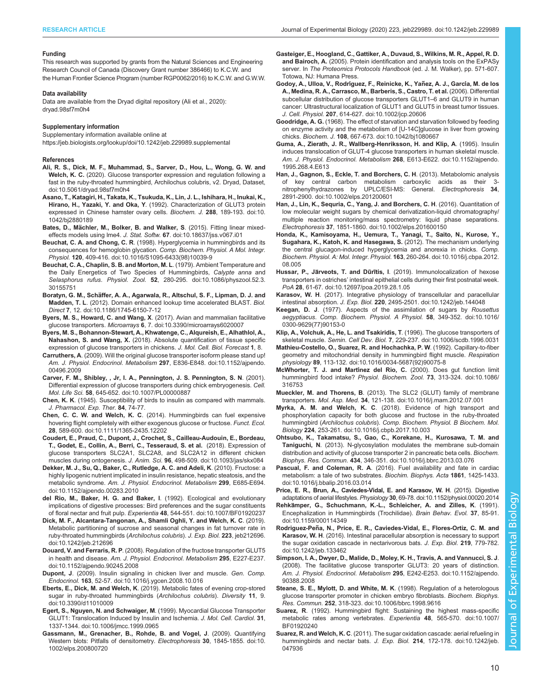#### <span id="page-9-0"></span>Funding

This research was supported by grants from the Natural Sciences and Engineering Research Council of Canada (Discovery Grant number 386466) to K.C.W. and the Human Frontier Science Program (number RGP0062/2016) to K.C.W. and G.W.W.

#### Data availability

Data are available from the Dryad digital repository (Ali et al., 2020): [dryad.98sf7m0h4](https://doi.org/10.5061/dryad.98sf7m0h4)

#### Supplementary information

Supplementary information available online at <https://jeb.biologists.org/lookup/doi/10.1242/jeb.229989.supplemental>

#### References

- [Ali, R. S., Dick, M. F., Muhammad, S., Sarver, D., Hou, L., Wong, G. W. and](http://dx.doi.org/10.5061/dryad.98sf7m0h4) Welch, K. C. [\(2020\). Glucose transporter expression and regulation following a](http://dx.doi.org/10.5061/dryad.98sf7m0h4) [fast in the ruby-throated hummingbird, Archilochus colubris, v2. Dryad, Dataset,](http://dx.doi.org/10.5061/dryad.98sf7m0h4) [doi:10.5061/dryad.98sf7m0h4](http://dx.doi.org/10.5061/dryad.98sf7m0h4)
- [Asano, T., Katagiri, H., Takata, K., Tsukuda, K., Lin, J. L., Ishihara, H., Inukai, K.,](https://doi.org/10.1042/bj2880189) Hirano, H., Yazaki, Y. and Oka, Y[. \(1992\). Characterization of GLUT3 protein](https://doi.org/10.1042/bj2880189) [expressed in Chinese hamster ovary cells.](https://doi.org/10.1042/bj2880189) Biochem. J. 288, 189-193. doi:10. [1042/bj2880189](https://doi.org/10.1042/bj2880189)
- Bates, D., Mä[chler, M., Bolker, B. and Walker, S](https://doi.org/10.18637/jss.v067.i01). (2015). Fitting linear mixedeffects models using lme4. J. Stat. Softw. 67[. doi:10.18637/jss.v067.i01](https://doi.org/10.18637/jss.v067.i01)
- Beuchat, C. A. and Chong, C. R[. \(1998\). Hyperglycemia in hummingbirds and its](https://doi.org/10.1016/S1095-6433(98)10039-9) [consequences for hemoglobin glycation.](https://doi.org/10.1016/S1095-6433(98)10039-9) Comp. Biochem. Physiol. A Mol. Integr. Physiol. 120[, 409-416. doi:10.1016/S1095-6433\(98\)10039-9](https://doi.org/10.1016/S1095-6433(98)10039-9)
- [Beuchat, C. A., Chaplin, S. B. and Morton, M. L](https://doi.org/10.1086/physzool.52.3.30155751). (1979). Ambient Temperature and [the Daily Energetics of Two Species of Hummingbirds,](https://doi.org/10.1086/physzool.52.3.30155751) Calypte anna and Selasphorus rufus. Physiol. Zool. 52[, 280-295. doi:10.1086/physzool.52.3.](https://doi.org/10.1086/physzool.52.3.30155751) [30155751](https://doi.org/10.1086/physzool.52.3.30155751)
- Boratyn, G. M., Schä[ffer, A. A., Agarwala, R., Altschul, S. F., Lipman, D. J. and](https://doi.org/10.1186/1745-6150-7-12) Madden, T. L[. \(2012\). Domain enhanced lookup time accelerated BLAST.](https://doi.org/10.1186/1745-6150-7-12) Biol. Direct 7[, 12. doi:10.1186/1745-6150-7-12](https://doi.org/10.1186/1745-6150-7-12)
- Byers, M. S., Howard, C. and Wang, X[. \(2017\). Avian and mammalian facilitative](https://doi.org/10.3390/microarrays6020007) glucose transporters. Microarrays 6[, 7. doi:10.3390/microarrays6020007](https://doi.org/10.3390/microarrays6020007)
- Byers, M. S., Bohannon-Stewart, A., Khwatenge, C., Alqureish, E., Alhathlol, A., Nahashon, S. and Wang, X. (2018). Absolute quantification of tissue specific expression of glucose transporters in chickens. J. Mol. Cell. Biol. Forecast 1, 8.
- Carruthers, A[. \(2009\). Will the original glucose transporter isoform please stand up!](https://doi.org/10.1152/ajpendo.00496.2009) [Am. J. Physiol. Endocrinol. Metabolism](https://doi.org/10.1152/ajpendo.00496.2009) 297, E836-E848. doi:10.1152/ajpendo. [00496.2009](https://doi.org/10.1152/ajpendo.00496.2009)
- [Carver, F. M., Shibley, , Jr, I. A., Pennington, J. S. Pennington, S. N](https://doi.org/10.1007/PL00000887). (2001). [Differential expression of glucose transporters during chick embryogenesis.](https://doi.org/10.1007/PL00000887) Cell. Mol. Life Sci. 58[, 645-652. doi:10.1007/PL00000887](https://doi.org/10.1007/PL00000887)
- Chen, K. K. (1945). Susceptibility of birds to insulin as compared with mammals. J. Pharmacol. Exp. Ther. 84, 74-77.
- Chen, C. C. W. and Welch, K. C[. \(2014\). Hummingbirds can fuel expensive](https://doi.org/10.1111/1365-2435.12202) [hovering flight completely with either exogenous glucose or fructose.](https://doi.org/10.1111/1365-2435.12202) Funct. Ecol. 28[, 589-600. doi:10.1111/1365-2435.12202](https://doi.org/10.1111/1365-2435.12202)
- [Coudert, E., Praud, C., Dupont, J., Crochet, S., Cailleau-Audouin, E., Bordeau,](https://doi.org/10.1093/jas/skx084) [T., Godet, E., Collin, A., Berri, C., Tesseraud, S. et al.](https://doi.org/10.1093/jas/skx084) (2018). Expression of [glucose transporters SLC2A1, SLC2A8, and SLC2A12 in different chicken](https://doi.org/10.1093/jas/skx084) muscles during ontogenesis. J. Anim. Sci. 96[, 498-509. doi:10.1093/jas/skx084](https://doi.org/10.1093/jas/skx084)
- [Dekker, M. J., Su, Q., Baker, C., Rutledge, A. C. and Adeli, K](https://doi.org/10.1152/ajpendo.00283.2010). (2010). Fructose: a [highly lipogenic nutrient implicated in insulin resistance, hepatic steatosis, and the](https://doi.org/10.1152/ajpendo.00283.2010) metabolic syndrome. [Am. J. Physiol. Endocrinol. Metabolism](https://doi.org/10.1152/ajpendo.00283.2010) 299, E685-E694. [doi:10.1152/ajpendo.00283.2010](https://doi.org/10.1152/ajpendo.00283.2010)
- [del Rio, M., Baker, H. G. and Baker, I](https://doi.org/10.1007/BF01920237). (1992). Ecological and evolutionary [implications of digestive processes: Bird preferences and the sugar constituents](https://doi.org/10.1007/BF01920237) of floral nectar and fruit pulp. Experientia 48[, 544-551. doi:10.1007/BF01920237](https://doi.org/10.1007/BF01920237)
- [Dick, M. F., Alcantara-Tangonan, A., Shamli Oghli, Y. and Welch, K. C](https://doi.org/10.1242/jeb.212696). (2019). [Metabolic partitioning of sucrose and seasonal changes in fat turnover rate in](https://doi.org/10.1242/jeb.212696) [ruby-throated hummingbirds \(](https://doi.org/10.1242/jeb.212696)Archilochus colubris). J. Exp. Biol. 223, jeb212696. [doi:10.1242/jeb.212696](https://doi.org/10.1242/jeb.212696)
- Douard, V. and Ferraris, R. P[. \(2008\). Regulation of the fructose transporter GLUT5](https://doi.org/10.1152/ajpendo.90245.2008) in health and disease. [Am. J. Physiol. Endocrinol. Metabolism](https://doi.org/10.1152/ajpendo.90245.2008) 295, E227-E237. [doi:10.1152/ajpendo.90245.2008](https://doi.org/10.1152/ajpendo.90245.2008)
- Dupont, J[. \(2009\). Insulin signaling in chicken liver and muscle.](https://doi.org/10.1016/j.ygcen.2008.10.016) Gen. Comp. Endocrinol. 163[, 52-57. doi:10.1016/j.ygcen.2008.10.016](https://doi.org/10.1016/j.ygcen.2008.10.016)
- Eberts, E., Dick, M. and Welch, K[. \(2019\). Metabolic fates of evening crop-stored](https://doi.org/10.3390/d11010009) [sugar in ruby-throated hummingbirds \(](https://doi.org/10.3390/d11010009)Archilochus colubris). Diversity 11, 9. [doi:10.3390/d11010009](https://doi.org/10.3390/d11010009)
- [Egert, S., Nguyen, N. and Schwaiger, M](https://doi.org/10.1006/jmcc.1999.0965). (1999). Myocardial Glucose Transporter [GLUT1: Translocation Induced by Insulin and Ischemia.](https://doi.org/10.1006/jmcc.1999.0965) J. Mol. Cell. Cardiol. 31, [1337-1344. doi:10.1006/jmcc.1999.0965](https://doi.org/10.1006/jmcc.1999.0965)
- [Gassmann, M., Grenacher, B., Rohde, B. and Vogel, J](https://doi.org/10.1002/elps.200800720). (2009). Quantifying [Western blots: Pitfalls of densitometry.](https://doi.org/10.1002/elps.200800720) Electrophoresis 30, 1845-1855. doi:10. [1002/elps.200800720](https://doi.org/10.1002/elps.200800720)
- Gasteiger, E., Hoogland, C., Gattiker, A., Duvaud, S., Wilkins, M. R., Appel, R. D. and Bairoch, A. (2005). Protein identification and analysis tools on the ExPASy server. In The Proteomics Protocols Handbook (ed. J. M. Walker), pp. 571-607. Totowa, NJ: Humana Press.
- Godoy, A., Ulloa, V., Rodríguez, F., Reinicke, K., Yañez, A. J., García, M. de los [A., Medina, R. A., Carrasco, M., Barberis, S., Castro, T. et al.](https://doi.org/10.1002/jcp.20606) (2006). Differential [subcellular distribution of glucose transporters GLUT1](https://doi.org/10.1002/jcp.20606)–6 and GLUT9 in human [cancer: Ultrastructural localization of GLUT1 and GLUT5 in breast tumor tissues.](https://doi.org/10.1002/jcp.20606) J. Cell. Physiol. 207[, 614-627. doi:10.1002/jcp.20606](https://doi.org/10.1002/jcp.20606)
- Goodridge, A. G. [\(1968\). The effect of starvation and starvation followed by feeding](https://doi.org/10.1042/bj1080667) [on enzyme activity and the metabolism of \[U-14C\]glucose in liver from growing](https://doi.org/10.1042/bj1080667) chicks. Biochem. J. 108[, 667-673. doi:10.1042/bj1080667](https://doi.org/10.1042/bj1080667)
- [Guma, A., Zierath, J. R., Wallberg-Henriksson, H. and Klip, A](https://doi.org/10.1152/ajpendo.1995.268.4.E613). (1995). Insulin [induces translocation of GLUT-4 glucose transporters in human skeletal muscle.](https://doi.org/10.1152/ajpendo.1995.268.4.E613) [Am. J. Physiol. Endocrinol. Metabolism](https://doi.org/10.1152/ajpendo.1995.268.4.E613) 268, E613-E622. doi:10.1152/ajpendo. [1995.268.4.E613](https://doi.org/10.1152/ajpendo.1995.268.4.E613)
- [Han, J., Gagnon, S., Eckle, T. and Borchers, C. H](https://doi.org/10.1002/elps.201200601). (2013). Metabolomic analysis of key central carbon metabolism carboxylic acids as their [nitrophenylhydrazones by UPLC/ESI-MS: General.](https://doi.org/10.1002/elps.201200601) Electrophoresis 34, [2891-2900. doi:10.1002/elps.201200601](https://doi.org/10.1002/elps.201200601)
- [Han, J., Lin, K., Sequria, C., Yang, J. and Borchers, C. H](https://doi.org/10.1002/elps.201600150). (2016). Quantitation of [low molecular weight sugars by chemical derivatization-liquid chromatography/](https://doi.org/10.1002/elps.201600150) [multiple reaction monitoring/mass spectrometry: liquid phase separations.](https://doi.org/10.1002/elps.201600150) Electrophoresis 37, [1851-1860. doi:10.1002/elps.201600150](https://doi.org/10.1002/elps.201600150)
- [Honda, K., Kamisoyama, H., Uemura, T., Yanagi, T., Saito, N., Kurose, Y.,](https://doi.org/10.1016/j.cbpa.2012.08.005) [Sugahara, K., Katoh, K. and Hasegawa, S.](https://doi.org/10.1016/j.cbpa.2012.08.005) (2012). The mechanism underlying [the central glucagon-induced hyperglycemia and anorexia in chicks.](https://doi.org/10.1016/j.cbpa.2012.08.005) Comp. [Biochem. Physiol. A: Mol. Integr. Physiol.](https://doi.org/10.1016/j.cbpa.2012.08.005) 163, 260-264. doi:10.1016/j.cbpa.2012. [08.005](https://doi.org/10.1016/j.cbpa.2012.08.005)
- Hussar, P., Järveots, T. and Dūrītis, I[. \(2019\). Immunolocalization of hexose](https://doi.org/10.12697/poa.2019.28.1.05) transporters in ostriches' [intestinal epithelial cells during their first postnatal week.](https://doi.org/10.12697/poa.2019.28.1.05) PoA 28[, 61-67. doi:10.12697/poa.2019.28.1.05](https://doi.org/10.12697/poa.2019.28.1.05)
- Karasov, W. H[. \(2017\). Integrative physiology of transcellular and paracellular](https://doi.org/10.1242/jeb.144048) intestinal absorption. J. Exp. Biol. 220[, 2495-2501. doi:10.1242/jeb.144048](https://doi.org/10.1242/jeb.144048)
- Keegan, D. J[. \(1977\). Aspects of the assimilation of sugars by](https://doi.org/10.1016/0300-9629(77)90153-0) Rousettus aegyptiacus. [Comp. Biochem. Physiol. A Physiol.](https://doi.org/10.1016/0300-9629(77)90153-0) 58, 349-352. doi:10.1016/ [0300-9629\(77\)90153-0](https://doi.org/10.1016/0300-9629(77)90153-0)
- [Klip, A., Volchuk, A., He, L. and Tsakiridis, T](https://doi.org/10.1006/scdb.1996.0031). (1996). The glucose transporters of skeletal muscle. Semin. Cell Dev. Biol. 7[, 229-237. doi:10.1006/scdb.1996.0031](https://doi.org/10.1006/scdb.1996.0031)
- [Mathieu-Costello, O., Suarez, R. and Hochachka, P. W](https://doi.org/10.1016/0034-5687(92)90075-8). (1992). Capillary-to-fiber [geometry and mitochondrial density in hummingbird flight muscle.](https://doi.org/10.1016/0034-5687(92)90075-8) Respiration physiology 89[, 113-132. doi:10.1016/0034-5687\(92\)90075-8](https://doi.org/10.1016/0034-5687(92)90075-8)
- McWhorter, T. J. and Martínez del Rio, C. [\(2000\). Does gut function limit](https://doi.org/10.1086/316753) [hummingbird food intake?](https://doi.org/10.1086/316753) Physiol. Biochem. Zool. 73, 313-324. doi:10.1086/ [316753](https://doi.org/10.1086/316753)
- Mueckler, M. and Thorens, B[. \(2013\). The SLC2 \(GLUT\) family of membrane](https://doi.org/10.1016/j.mam.2012.07.001) transporters. Mol. Asp. Med. 34[, 121-138. doi:10.1016/j.mam.2012.07.001](https://doi.org/10.1016/j.mam.2012.07.001)
- Myrka, A. M. and Welch, K. C[. \(2018\). Evidence of high transport and](https://doi.org/10.1016/j.cbpb.2017.10.003) [phosphorylation capacity for both glucose and fructose in the ruby-throated](https://doi.org/10.1016/j.cbpb.2017.10.003) hummingbird (Archilochus colubris). [Comp. Biochem. Physiol. B Biochem. Mol.](https://doi.org/10.1016/j.cbpb.2017.10.003) Biology 224[, 253-261. doi:10.1016/j.cbpb.2017.10.003](https://doi.org/10.1016/j.cbpb.2017.10.003)
- [Ohtsubo, K., Takamatsu, S., Gao, C., Korekane, H., Kurosawa, T. M. and](https://doi.org/10.1016/j.bbrc.2013.03.076) Taniguchi, N[. \(2013\). N-glycosylation modulates the membrane sub-domain](https://doi.org/10.1016/j.bbrc.2013.03.076) [distribution and activity of glucose transporter 2 in pancreatic beta cells.](https://doi.org/10.1016/j.bbrc.2013.03.076) Biochem. Biophys. Res. Commun. 434[, 346-351. doi:10.1016/j.bbrc.2013.03.076](https://doi.org/10.1016/j.bbrc.2013.03.076)
- Pascual, F. and Coleman, R. A[. \(2016\). Fuel availability and fate in cardiac](https://doi.org/10.1016/j.bbalip.2016.03.014) [metabolism: a tale of two substrates.](https://doi.org/10.1016/j.bbalip.2016.03.014) Biochim. Biophys. Acta 1861, 1425-1433. [doi:10.1016/j.bbalip.2016.03.014](https://doi.org/10.1016/j.bbalip.2016.03.014)
- [Price, E. R., Brun, A., Caviedes-Vidal, E. and Karasov, W. H](https://doi.org/10.1152/physiol.00020.2014). (2015). Digestive adaptations of aerial lifestyles. Physiology 30[, 69-78. doi:10.1152/physiol.00020.2014](https://doi.org/10.1152/physiol.00020.2014)
- Rehkämper, [G., Schuchmann, K.-L., Schleicher, A. and Zilles, K](https://doi.org/10.1159/000114349). (1991). [Encephalization in Hummingbirds \(Trochilidae\).](https://doi.org/10.1159/000114349) Brain Behav. Evol. 37, 85-91. [doi:10.1159/000114349](https://doi.org/10.1159/000114349)
- Rodriguez-Peñ[a, N., Price, E. R., Caviedes-Vidal, E., Flores-Ortiz, C. M. and](https://doi.org/10.1242/jeb.133462) Karasov, W. H[. \(2016\). Intestinal paracellular absorption is necessary to support](https://doi.org/10.1242/jeb.133462) [the sugar oxidation cascade in nectarivorous bats.](https://doi.org/10.1242/jeb.133462) J. Exp. Biol. 219, 779-782. [doi:10.1242/jeb.133462](https://doi.org/10.1242/jeb.133462)
- [Simpson, I. A., Dwyer, D., Malide, D., Moley, K. H., Travis, A. and Vannucci, S. J](https://doi.org/10.1152/ajpendo.90388.2008). [\(2008\). The facilitative glucose transporter GLUT3: 20 years of distinction.](https://doi.org/10.1152/ajpendo.90388.2008) [Am. J. Physiol. Endocrinol. Metabolism](https://doi.org/10.1152/ajpendo.90388.2008) 295, E242-E253. doi:10.1152/ajpendo. [90388.2008](https://doi.org/10.1152/ajpendo.90388.2008)
- [Steane, S. E., Mylott, D. and White, M. K](https://doi.org/10.1006/bbrc.1998.9616). (1998). Regulation of a heterologous [glucose transporter promoter in chicken embryo fibroblasts.](https://doi.org/10.1006/bbrc.1998.9616) Biochem. Biophys. Res. Commun. 252[, 318-323. doi:10.1006/bbrc.1998.9616](https://doi.org/10.1006/bbrc.1998.9616)
- Suarez, R[. \(1992\). Hummingbird flight: Sustaining the highest mass-specific](https://doi.org/10.1007/BF01920240) [metabolic rates among vertebrates.](https://doi.org/10.1007/BF01920240) Experientia 48, 565-570. doi:10.1007/ [BF01920240](https://doi.org/10.1007/BF01920240)
- Suarez, R. and Welch, K. C[. \(2011\). The sugar oxidation cascade: aerial refueling in](https://doi.org/10.1242/jeb.047936) [hummingbirds and nectar bats.](https://doi.org/10.1242/jeb.047936) J. Exp. Biol. 214, 172-178. doi:10.1242/jeb. [047936](https://doi.org/10.1242/jeb.047936)